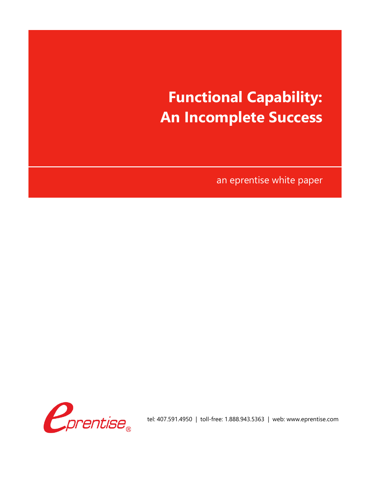# **Functional Capability: An Incomplete Success**

an eprentise white paper



tel: 407.591.4950 | toll-free: 1.888.943.5363 | web: www.eprentise.com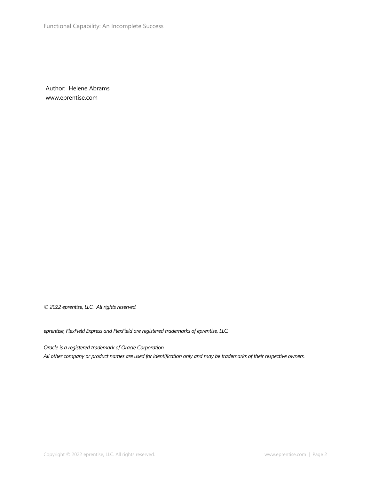Author: Helene Abrams www.eprentise.com

*© 2022 eprentise, LLC. All rights reserved.*

*eprentise, FlexField Express and FlexField are registered trademarks of eprentise, LLC.*

*Oracle is a registered trademark of Oracle Corporation. All other company or product names are used for identification only and may be trademarks of their respective owners.*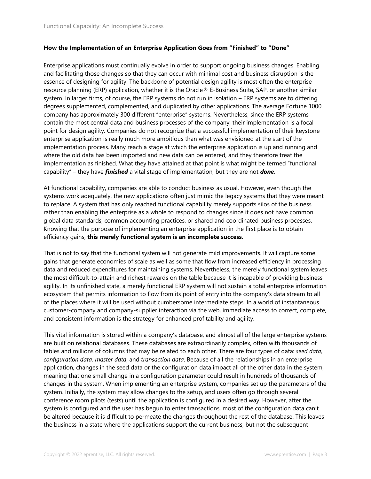#### **How the Implementation of an Enterprise Application Goes from "Finished" to "Done"**

Enterprise applications must continually evolve in order to support ongoing business changes. Enabling and facilitating those changes so that they can occur with minimal cost and business disruption is the essence of designing for agility. The backbone of potential design agility is most often the enterprise resource planning (ERP) application, whether it is the Oracle® E-Business Suite, SAP, or another similar system. In larger firms, of course, the ERP systems do not run in isolation – ERP systems are to differing degrees supplemented, complemented, and duplicated by other applications. The average Fortune 1000 company has approximately 300 different "enterprise" systems. Nevertheless, since the ERP systems contain the most central data and business processes of the company, their implementation is a focal point for design agility. Companies do not recognize that a successful implementation of their keystone enterprise application is really much more ambitious than what was envisioned at the start of the implementation process. Many reach a stage at which the enterprise application is up and running and where the old data has been imported and new data can be entered, and they therefore treat the implementation as finished. What they have attained at that point is what might be termed "functional capability" – they have *finished* a vital stage of implementation, but they are not *done*.

At functional capability, companies are able to conduct business as usual. However, even though the systems work adequately, the new applications often just mimic the legacy systems that they were meant to replace. A system that has only reached functional capability merely supports silos of the business rather than enabling the enterprise as a whole to respond to changes since it does not have common global data standards, common accounting practices, or shared and coordinated business processes. Knowing that the purpose of implementing an enterprise application in the first place is to obtain efficiency gains, **this merely functional system is an incomplete success.**

That is not to say that the functional system will not generate mild improvements. It will capture some gains that generate economies of scale as well as some that flow from increased efficiency in processing data and reduced expenditures for maintaining systems. Nevertheless, the merely functional system leaves the most difficult-to-attain and richest rewards on the table because it is incapable of providing business agility. In its unfinished state, a merely functional ERP system will not sustain a total enterprise information ecosystem that permits information to flow from its point of entry into the company's data stream to all of the places where it will be used without cumbersome intermediate steps. In a world of instantaneous customer-company and company-supplier interaction via the web, immediate access to correct, complete, and consistent information is the strategy for enhanced profitability and agility.

This vital information is stored within a company's database, and almost all of the large enterprise systems are built on relational databases. These databases are extraordinarily complex, often with thousands of tables and millions of columns that may be related to each other. There are four types of data: *seed data, configuration data, master data*, and *transaction data*. Because of all the relationships in an enterprise application, changes in the seed data or the configuration data impact all of the other data in the system, meaning that one small change in a configuration parameter could result in hundreds of thousands of changes in the system. When implementing an enterprise system, companies set up the parameters of the system. Initially, the system may allow changes to the setup, and users often go through several conference room pilots (tests) until the application is configured in a desired way. However, after the system is configured and the user has begun to enter transactions, most of the configuration data can't be altered because it is difficult to permeate the changes throughout the rest of the database. This leaves the business in a state where the applications support the current business, but not the subsequent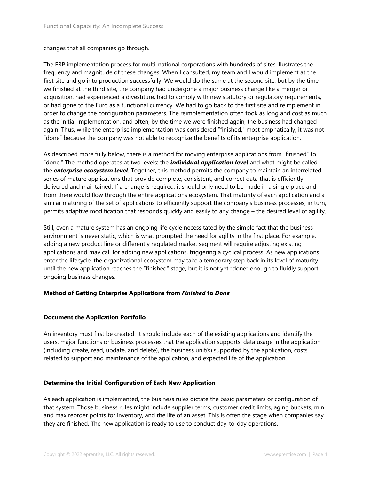changes that all companies go through.

The ERP implementation process for multi-national corporations with hundreds of sites illustrates the frequency and magnitude of these changes. When I consulted, my team and I would implement at the first site and go into production successfully. We would do the same at the second site, but by the time we finished at the third site, the company had undergone a major business change like a merger or acquisition, had experienced a divestiture, had to comply with new statutory or regulatory requirements, or had gone to the Euro as a functional currency. We had to go back to the first site and reimplement in order to change the configuration parameters. The reimplementation often took as long and cost as much as the initial implementation, and often, by the time we were finished again, the business had changed again. Thus, while the enterprise implementation was considered "finished," most emphatically, it was not "done" because the company was not able to recognize the benefits of its enterprise application.

As described more fully below, there is a method for moving enterprise applications from "finished" to "done." The method operates at two levels: the *individual application level* and what might be called the *enterprise ecosystem level*. Together, this method permits the company to maintain an interrelated series of mature applications that provide complete, consistent, and correct data that is efficiently delivered and maintained. If a change is required, it should only need to be made in a single place and from there would flow through the entire applications ecosystem. That maturity of each application and a similar maturing of the set of applications to efficiently support the company's business processes, in turn, permits adaptive modification that responds quickly and easily to any change – the desired level of agility.

Still, even a mature system has an ongoing life cycle necessitated by the simple fact that the business environment is never static, which is what prompted the need for agility in the first place. For example, adding a new product line or differently regulated market segment will require adjusting existing applications and may call for adding new applications, triggering a cyclical process. As new applications enter the lifecycle, the organizational ecosystem may take a temporary step back in its level of maturity until the new application reaches the "finished" stage, but it is not yet "done" enough to fluidly support ongoing business changes.

# **Method of Getting Enterprise Applications from** *Finished* **to** *Done*

# **Document the Application Portfolio**

An inventory must first be created. It should include each of the existing applications and identify the users, major functions or business processes that the application supports, data usage in the application (including create, read, update, and delete), the business unit(s) supported by the application, costs related to support and maintenance of the application, and expected life of the application.

# **Determine the Initial Configuration of Each New Application**

As each application is implemented, the business rules dictate the basic parameters or configuration of that system. Those business rules might include supplier terms, customer credit limits, aging buckets, min and max reorder points for inventory, and the life of an asset. This is often the stage when companies say they are finished. The new application is ready to use to conduct day-to-day operations.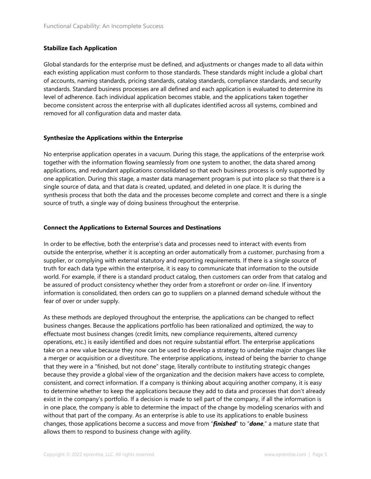# **Stabilize Each Application**

Global standards for the enterprise must be defined, and adjustments or changes made to all data within each existing application must conform to those standards. These standards might include a global chart of accounts, naming standards, pricing standards, catalog standards, compliance standards, and security standards. Standard business processes are all defined and each application is evaluated to determine its level of adherence. Each individual application becomes stable, and the applications taken together become consistent across the enterprise with all duplicates identified across all systems, combined and removed for all configuration data and master data.

# **Synthesize the Applications within the Enterprise**

No enterprise application operates in a vacuum. During this stage, the applications of the enterprise work together with the information flowing seamlessly from one system to another, the data shared among applications, and redundant applications consolidated so that each business process is only supported by one application. During this stage, a master data management program is put into place so that there is a single source of data, and that data is created, updated, and deleted in one place. It is during the synthesis process that both the data and the processes become complete and correct and there is a single source of truth, a single way of doing business throughout the enterprise.

#### **Connect the Applications to External Sources and Destinations**

In order to be effective, both the enterprise's data and processes need to interact with events from outside the enterprise, whether it is accepting an order automatically from a customer, purchasing from a supplier, or complying with external statutory and reporting requirements. If there is a single source of truth for each data type within the enterprise, it is easy to communicate that information to the outside world. For example, if there is a standard product catalog, then customers can order from that catalog and be assured of product consistency whether they order from a storefront or order on-line. If inventory information is consolidated, then orders can go to suppliers on a planned demand schedule without the fear of over or under supply.

As these methods are deployed throughout the enterprise, the applications can be changed to reflect business changes. Because the applications portfolio has been rationalized and optimized, the way to effectuate most business changes (credit limits, new compliance requirements, altered currency operations, etc.) is easily identified and does not require substantial effort. The enterprise applications take on a new value because they now can be used to develop a strategy to undertake major changes like a merger or acquisition or a divestiture. The enterprise applications, instead of being the barrier to change that they were in a "finished, but not done" stage, literally contribute to instituting strategic changes because they provide a global view of the organization and the decision makers have access to complete, consistent, and correct information. If a company is thinking about acquiring another company, it is easy to determine whether to keep the applications because they add to data and processes that don't already exist in the company's portfolio. If a decision is made to sell part of the company, if all the information is in one place, the company is able to determine the impact of the change by modeling scenarios with and without that part of the company. As an enterprise is able to use its applications to enable business changes, those applications become a success and move from "*finished*" to "*done*," a mature state that allows them to respond to business change with agility.